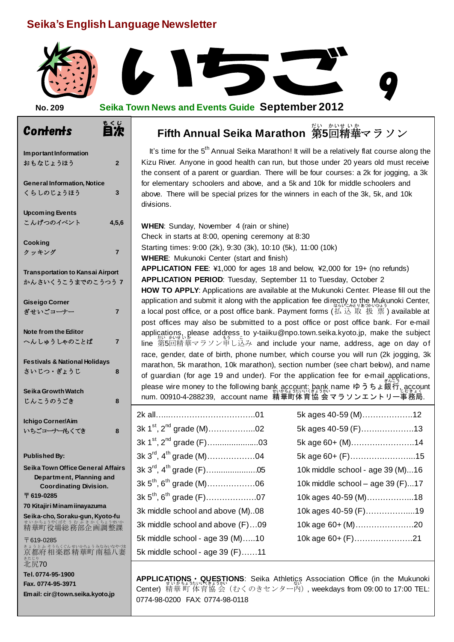# **Seika's English Language Newsletter**



### **No. 209 Seika Town News and Events Guide September 2012**

| Im portant Information<br>おもなじょうほう                                                                                                   | $\overline{2}$ |  |
|--------------------------------------------------------------------------------------------------------------------------------------|----------------|--|
| <b>General Information, Notice</b><br>くらしのじょうほう                                                                                      | 3              |  |
| <b>Upcoming Events</b><br>こんげつのイベント                                                                                                  | 4,5,6          |  |
| Cooking<br>クッキング                                                                                                                     | 7              |  |
| <b>Transportation to Kansai Airport</b><br>かんさいくうこうまでのこうつう 7                                                                         |                |  |
| <b>Giseigo Corner</b><br>ぎせいごコーナー                                                                                                    | 7              |  |
| Note from the Editor<br>へんしゅうしゃのことば                                                                                                  | 7              |  |
| <b>Festivals &amp; National Holidays</b><br>さいじつ・ぎょうじ                                                                                | 8              |  |
| Seika Growth Watch<br>じんこうのうごき                                                                                                       | 8              |  |
| <b>Ichigo Corner/Aim</b><br>いちごコーナーもくてき                                                                                              | 8              |  |
| <b>Published By:</b><br>Seika Town Office General Affairs<br>Department, Planning and<br><b>Coordinating Division.</b><br>〒 619-0285 |                |  |
| 70 Kitajiri Minamiinayazuma                                                                                                          |                |  |
| Seika-cho, Soraku-gun, Kyoto-fu                                                                                                      |                |  |
| 〒619-0285<br><sub>きょうとふ そうらくぐん せいかちょう みなみいなやづま<br/>京都府 相楽郡 精華町 南稲八妻</sub><br>きたじり<br>北尻70                                            |                |  |

**Tel. 0774-95-1900 Fax. 0774-95-3971 Email: cir@town.seika.kyoto.jp**

# Contents 目次 **Fifth Annual Seika Marathon** 第 だい **5**回 精華 マラソン かい せ い か

It's time for the 5<sup>th</sup> Annual Seika Marathon! It will be a relatively flat course along the Kizu River. Anyone in good health can run, but those under 20 years old must receive the consent of a parent or guardian. There will be four courses: a 2k for jogging, a 3k for elementary schoolers and above, and a 5k and 10k for middle schoolers and above. There will be special prizes for the winners in each of the 3k, 5k, and 10k divisions.

**WHEN**: Sunday, November 4 (rain or shine) Check in starts at 8:00, opening ceremony at 8:30 Starting times: 9:00 (2k), 9:30 (3k), 10:10 (5k), 11:00 (10k) **WHERE**: Mukunoki Center (start and finish) **APPLICATION FEE**: ¥1,000 for ages 18 and below, ¥2,000 for 19+ (no refunds) **APPLICATION PERIOD**: Tuesday, September 11 to Tuesday, October 2 **HOW TO APPLY**: Applications are available at the Mukunoki Center. Please fill out the application and submit it along with the application fee directly to the Mukunoki Center, : .<br>a local post office, or a post office bank. Payment forms (払込 取 扱 票 ) available at post offices may also be submitted to a post office or post office bank. For e-mail applications, please address to y-taiiku@npo.town.seika.kyoto.jp, make the subject ・・ <sub>だい かいせいか</sub><br>line 第5回精華マラソン申し込み and include your name, address, age on day of race, gender, date of birth, phone number, which course you will run (2k jogging, 3k marathon, 5k marathon, 10k marathon), section number (see chart below), and name of guardian (for age 19 and under). For the application fee for e-mail applications, please wire money to the following ban<u>k account; bank</u> name ゆうちょ銀行, account .<br>num. 00910-4-288239,account name 精華町体育協 会 マラソンエントリー事務局.

|                                  | 5k ages 40-59 (M)12              |
|----------------------------------|----------------------------------|
|                                  | 5k ages 40-59 (F)13              |
|                                  | 5k age 60+ (M)14                 |
|                                  | 5k age 60+ (F)15                 |
|                                  | 10k middle school - age 39 (M)16 |
|                                  | 10k middle school - age 39 (F)17 |
|                                  | 10k ages 40-59 (M)18             |
| 3k middle school and above (M)08 | 10k ages 40-59 (F)19             |
| 3k middle school and above (F)09 | 10k age 60+ (M)20                |
| 5k middle school - age 39 (M)10  | 10k age 60+ (F)21                |
| 5k middle school - age 39 (F)11  |                                  |

| 5k ages 40-59 (M)12              |  |
|----------------------------------|--|
| 5k ages 40-59 (F)13              |  |
| 5k age 60+ (M)14                 |  |
| 5k age 60+ (F)15                 |  |
| 10k middle school - age 39 (M)16 |  |
| 10k middle school - age 39 (F)17 |  |
| 10k ages 40-59 (M)18             |  |
| 10k ages 40-59 (F)19             |  |
| 10k age 60+ (M)20                |  |
| 10k age 60+ (F)21                |  |
|                                  |  |

APPLICATIONS • QUESTIONS: Seika Athletics Association Office (in the Mukunoki Center) 精華 町 体育 協 会 (むくのきセンター内 ), weekdays from 09:00 to 17:00 TEL: 0774-98-0200 FAX: 0774-98-0118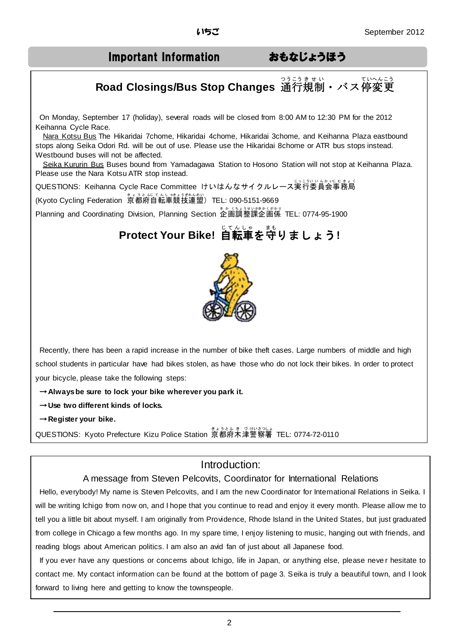# Important Information おもなじょうほう

# Road Closings/Bus Stop Changes 通行規制・バス停変更

On Monday, September 17 (holiday), several roads will be closed from 8:00 AM to 12:30 PM for the 2012 Keihanna Cycle Race.

Nara Kotsu Bus The Hikaridai 7chome, Hikaridai 4chome, Hikaridai 3chome, and Keihanna Plaza eastbound stops along Seika Odori Rd. will be out of use. Please use the Hikaridai 8chome or ATR bus stops instead. Westbound buses will not be affected.

Seika Kururin Bus Buses bound from Yamadagawa Station to Hosono Station will not stop at Keihanna Plaza. Please use the Nara Kotsu ATR stop instead.

QUESTIONS: Keihanna Cycle Race Committee けいはんなサイクルレース実行委員会事務局 (Kyoto Cycling Federation 京都府自転車競技連盟)TEL: 090-5151-9669

Planning and Coordinating Division, Planning Section 企画調整課企画係 TEL: 0774-95-1900

# **Protect Your Bike!** 自転車 じ て ん し ゃ を守 まも りましょう**!**



Recently, there has been a rapid increase in the number of bike theft cases. Large numbers of middle and high school students in particular have had bikes stolen, as have those who do not lock their bikes. In order to protect your bicycle, please take the following steps:

→**Always be sure to lock your bike wherever you park it.**

- →**Use two different kinds of locks.**
- →**Register your bike.**

.

QUESTIONS: Kyoto Prefecture Kizu Police Station 京都府木津警察署 TEL: 0774-72-0110

# Introduction:

### A message from Steven Pelcovits, Coordinator for International Relations

Hello, everybody! My name is Steven Pelcovits, and I am the new Coordinator for International Relations in Seika. I will be writing Ichigo from now on, and I hope that you continue to read and enjoy it every month. Please allow me to tell you a little bit about myself. I am originally from Providence, Rhode Island in the United States, but just graduated from college in Chicago a few months ago. In my spare time, I enjoy listening to music, hanging out with friends, and reading blogs about American politics. I am also an avid fan of just about all Japanese food.

If you ever have any questions or concerns about Ichigo, life in Japan, or anything else, please neve r hesitate to contact me. My contact information can be found at the bottom of page 3. Seika is truly a beautiful town, and I look forward to living here and getting to know the townspeople.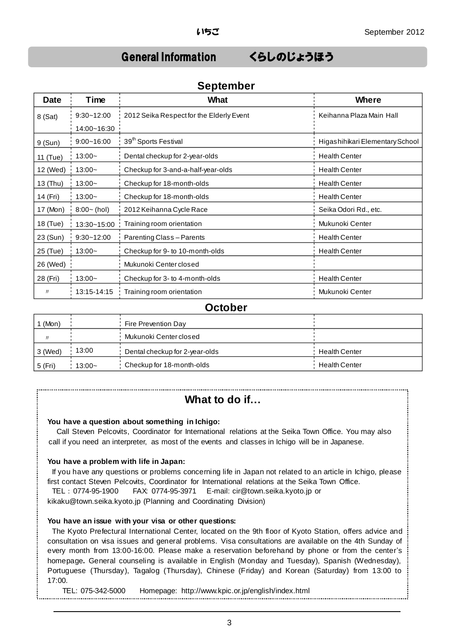# General Information くらしのじょうほう

| <b>Date</b> | Time           | <b>What</b>                              | <b>Where</b>                    |
|-------------|----------------|------------------------------------------|---------------------------------|
| 8 (Sat)     | $9:30 - 12:00$ | 2012 Seika Respect for the Elderly Event | Keihanna Plaza Main Hall        |
|             | 14:00~16:30    |                                          |                                 |
| 9(Sun)      | $9:00 - 16:00$ | 39 <sup>th</sup> Sports Festival         | Higashihikari Elementary School |
| 11 (Tue)    | $13:00-$       | Dental checkup for 2-year-olds           | <b>Health Center</b>            |
| 12 (Wed)    | $13:00 -$      | Checkup for 3-and-a-half-year-olds       | <b>Health Center</b>            |
| 13 (Thu)    | $13:00-$       | Checkup for 18-month-olds                | <b>Health Center</b>            |
| 14 (Fri)    | $13:00-$       | Checkup for 18-month-olds                | <b>Health Center</b>            |
| 17 (Mon)    | $8:00 - (hol)$ | 2012 Keihanna Cycle Race                 | Seika Odori Rd., etc.           |
| 18 (Tue)    | 13:30~15:00    | Training room orientation                | Mukunoki Center                 |
| 23 (Sun)    | $9:30 - 12:00$ | <b>Parenting Class-Parents</b>           | <b>Health Center</b>            |
| 25 (Tue)    | $13:00-$       | Checkup for 9- to 10-month-olds          | <b>Health Center</b>            |
| 26 (Wed)    |                | Mukunoki Center closed                   |                                 |
| 28 (Fri)    | $13:00-$       | Checkup for 3- to 4-month-olds           | <b>Health Center</b>            |
| Л           | 13:15-14:15    | Training room orientation                | Mukunoki Center                 |

### **September**

### **October**

| (Mon)     |          | Fire Prevention Day            |                      |
|-----------|----------|--------------------------------|----------------------|
|           |          | Mukunoki Center closed         |                      |
| l 3 (Wed) | 13:00    | Dental checkup for 2-year-olds | <b>Health Center</b> |
| 5 (Fri)   | $13:00-$ | Checkup for 18-month-olds      | <b>Health Center</b> |

# **What to do if…**

### **You have a question about something in Ichigo:**

Call Steven Pelcovits, Coordinator for International relations at the Seika Town Office. You may also call if you need an interpreter, as most of the events and classes in Ichigo will be in Japanese.

### **You have a problem with life in Japan:**

If you have any questions or problems concerning life in Japan not related to an article in Ichigo, please first contact Steven Pelcovits, Coordinator for International relations at the Seika Town Office.

TEL:0774-95-1900 FAX: 0774-95-3971 E-mail: cir@town.seika.kyoto.jp or

kikaku@town.seika.kyoto.jp (Planning and Coordinating Division)

### **You have an issue with your visa or other questions:**

The Kyoto Prefectural International Center, located on the 9th floor of Kyoto Station, offers advice and consultation on visa issues and general problems. Visa consultations are available on the 4th Sunday of every month from 13:00-16:00. Please make a reservation beforehand by phone or from the center's homepage**.** General counseling is available in English (Monday and Tuesday), Spanish (Wednesday), Portuguese (Thursday), Tagalog (Thursday), Chinese (Friday) and Korean (Saturday) from 13:00 to 17:00.

TEL: 075-342-5000 Homepage: http://www.kpic.or.jp/english/index.html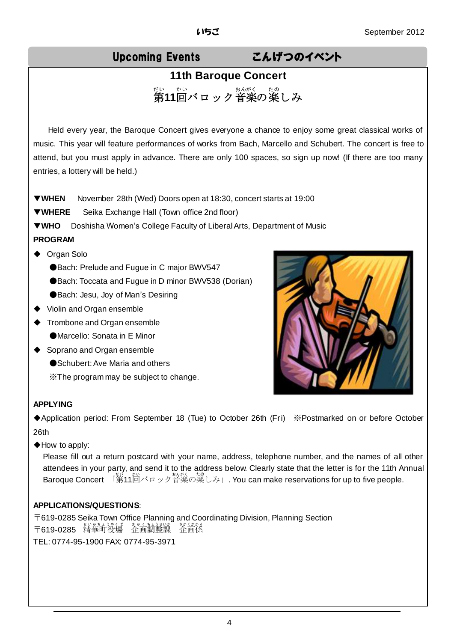# Upcoming Events こんげつのイベント

# **11th Baroque Concert** <sub>だい。かい</sub><br>第11回バロック音楽の楽しみ

Held every year, the Baroque Concert gives everyone a chance to enjoy some great classical works of music. This year will feature performances of works from Bach, Marcello and Schubert. The concert is free to attend, but you must apply in advance. There are only 100 spaces, so sign up now! (If there are too many entries, a lottery will be held.)

▼**WHEN** November 28th (Wed) Doors open at 18:30, concert starts at 19:00

▼**WHERE** Seika Exchange Hall (Town office 2nd floor)

▼**WHO** Doshisha Women's College Faculty of Liberal Arts, Department of Music

### **PROGRAM**

- ◆ Organ Solo
	- ●Bach: Prelude and Fugue in C major BWV547
	- ●Bach: Toccata and Fugue in D minor BWV538 (Dorian)
	- ●Bach: Jesu, Joy of Man's Desiring
- ◆ Violin and Organ ensemble
- ◆ Trombone and Organ ensemble
	- ●Marcello: Sonata in E Minor
- ◆ Soprano and Organ ensemble
	- ●Schubert: Ave Maria and others
	- ※The program may be subject to change.



### **APPLYING**

◆Application period: From September 18 (Tue) to October 26th (Fri) ※Postmarked on or before October 26th

◆How to apply:

Please fill out a return postcard with your name, address, telephone number, and the names of all other attendees in your party, and send it to the address below. Clearly state that the letter is for the 11th Annual Baroque Concert 「第11茴バロック音楽の楽しみ」. You can make reservations for up to five people.

### **APPLICATIONS/QUESTIONS**:

〒619-0285 Seika Town Office Planning and Coordinating Division, Planning Section 〒619-0285 精華町役場 企画調整課 梵節深 TEL: 0774-95-1900 FAX: 0774-95-3971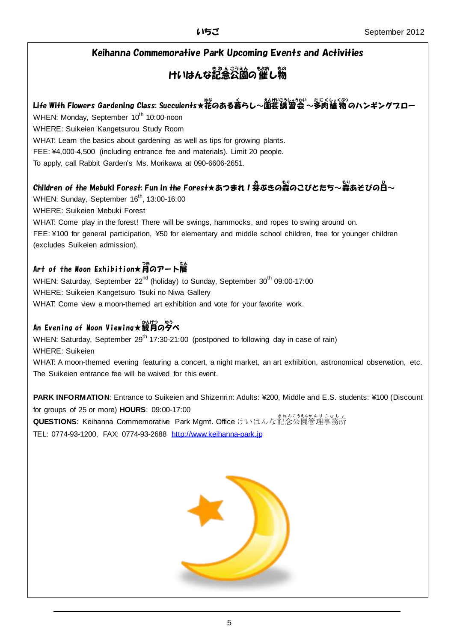### Keihanna Commemorative Park Upcoming Events and Activities

# けいはんな記念公園の催し物

# Life With Flowers Gardening Class: Succulents★花のある暮らし~園芸講習会 ~多肉植物 のハンギングフロー

WHEN: Monday, September 10<sup>th</sup> 10:00-noon

WHERE: Suikeien Kangetsurou Study Room

WHAT: Learn the basics about gardening as well as tips for growing plants.

FEE: ¥4,000-4,500 (including entrance fee and materials). Limit 20 people.

To apply, call Rabbit Garden's Ms. Morikawa at 090-6606-2651.

# Children of the Mebuki Forest: Fun in the Forest★あつまれ!券ぶきの蒸のこびとたち~蒸あそびのB~

WHEN: Sunday, September  $16<sup>th</sup>$ , 13:00-16:00

WHERE: Suikeien Mebuki Forest

WHAT: Come play in the forest! There will be swings, hammocks, and ropes to swing around on. FEE: ¥100 for general participation, ¥50 for elementary and middle school children, free for younger children (excludes Suikeien admission).

## Art of the Moon Exhibition★月のアート展

WHEN: Saturday, September 22<sup>nd</sup> (holiday) to Sunday, September 30<sup>th</sup> 09:00-17:00 WHERE: Suikeien Kangetsuro Tsuki no Niwa Gallery WHAT: Come view a moon-themed art exhibition and vote for your favorite work.

# An Evening of Noon Viewing★観月の夕べ

WHEN: Saturday, September  $29<sup>th</sup> 17:30-21:00$  (postponed to following day in case of rain) WHERE: Suikeien

WHAT: A moon-themed evening featuring a concert, a night market, an art exhibition, astronomical observation, etc. The Suikeien entrance fee will be waived for this event.

**PARK INFORMATION**: Entrance to Suikeien and Shizenrin: Adults: ¥200, Middle and E.S. students: ¥100 (Discount for groups of 25 or more) **HOURS**: 09:00-17:00 **QUESTIONS: Keihanna Commemorative Park Mgmt. Office** けいはんな記念公園管理事務所

TEL: 0774-93-1200, FAX: 0774-93-2688 [http://www.keihanna-park.jp](http://www.keihanna-park.jp/)

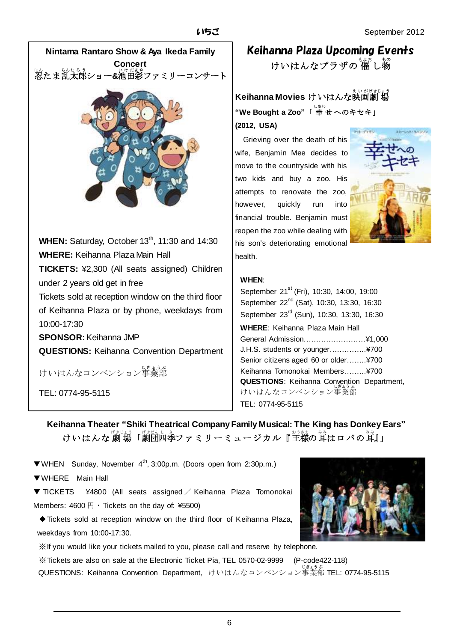

Keihanna Plaza Upcoming Events けいはんなプラザの 催 し物

**Keihanna Movies けいはんな映画劇場** "**We Bought a Zoo"「 幸 せへのキセキ」 (2012, USA)**

 Grieving over the death of his wife, Benjamin Mee decides to move to the countryside with his two kids and buy a zoo. His attempts to renovate the zoo, however, quickly run into financial trouble. Benjamin must reopen the zoo while dealing with his son's deteriorating emotional health.



### **WHEN**:

September 21<sup>st</sup> (Fri), 10:30, 14:00, 19:00 September 22<sup>nd</sup> (Sat), 10:30, 13:30, 16:30 September 23<sup>rd</sup> (Sun), 10:30, 13:30, 16:30 **WHERE**: Keihanna Plaza Main Hall General Admission.……………………¥1,000 J.H.S. students or younger….………..¥700 Senior citizens aged 60 or older……..¥700 Keihanna Tomonokai Members.……..¥700 **QUESTIONS**: Keihanna Convention Department, けいはんなコンベンション事業部 TEL: 0774-95-5115

# **Keihanna Theater "Shiki Theatrical CompanyFamily Musical: The King has Donkey Ears"** けいはんな劇場「劇団四季ファミリーミュージカル『主様の茸はロバの茸』」

- ▼WHEN Sunday, November 4th, 3:00p.m. (Doors open from 2:30p.m.)
- ▼WHERE Main Hall
- ▼ TICKETS ¥4800 (All seats assigned / Keihanna Plaza Tomonokai Members:  $4600 \biguplus \cdot$  Tickets on the day of: ¥5500)
- ◆Tickets sold at reception window on the third floor of Keihanna Plaza, weekdays from 10:00-17:30.
- ※If you would like your tickets mailed to you, please call and reserve by telephone.

※Tickets are also on sale at the Electronic Ticket Pia, TEL 0570-02-9999 (P-code422-118) QUESTIONS: Keihanna Convention Department, けいはんなコンベンション事業部 TEL: 0774-95-5115

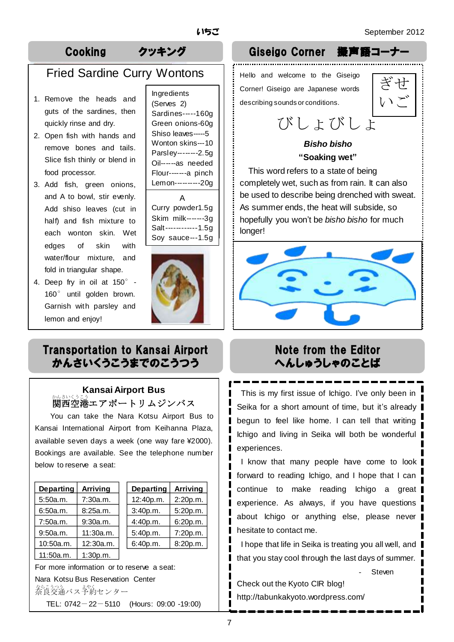# Fried Sardine Curry Wontons

- 1. Remove the heads and guts of the sardines, then quickly rinse and dry.
- 2. Open fish with hands and remove bones and tails. Slice fish thinly or blend in food processor.
- 3. Add fish, green onions, and A to bowl, stir evenly. Add shiso leaves (cut in half) and fish mixture to each wonton skin. Wet edges of skin with water/flour mixture, and fold in triangular shape.
- 4. Deep fry in oil at 150°- 160° until golden brown. Garnish with parsley and lemon and enjoy!

Ingredients (Serves 2) Sardines-----160g Green onions-60g Shiso leaves-----5 Wonton skins---10 Parsley--------2.5g Oil------as needed Flour-------a pinch Lemon----------20g

A Curry powder1.5g Skim milk-------3g Salt------------1.5g Soy sauce---1.5g



# Transportation to Kansai Airport かんさいくうこうまでのこうつう

## **Kansai Airport Bus** 。<br>関西空港エアポートリムジンバス

You can take the Nara Kotsu Airport Bus to Kansai International Airport from Keihanna Plaza, available seven days a week (one way fare ¥2000). Bookings are available. See the telephone number below to reserve a seat:

| <b>Departing</b> | <b>Arriving</b> |  |
|------------------|-----------------|--|
| 5:50a.m.         | 7:30a.m.        |  |
| 6:50a.m.         | 8:25a.m.        |  |
| 7:50a.m.         | 9:30a.m.        |  |
| 9:50a.m.         | 11:30a.m.       |  |
| 10:50a.m.        | 12:30a.m.       |  |
| 11:50a.m.        | 1:30p.m.        |  |

| <b>Departing</b> | <b>Arriving</b> | <b>Departing</b> | <b>Arriving</b> |
|------------------|-----------------|------------------|-----------------|
| 5:50a.m.         | 7:30a.m.        | 12:40p.m.        | 2:20p.m.        |
| 6:50a.m.         | 8:25a.m.        | 3:40p.m.         | 5:20p.m.        |
| 7:50a.m.         | 9:30a.m.        | 4:40p.m.         | 6:20p.m.        |
| 9:50a.m.         | 11:30a.m.       | 5:40p.m.         | 7:20p.m.        |
| 10:50a.m.        | 12:30a.m.       | 6:40p.m.         | 8:20p.m.        |
|                  |                 |                  |                 |

For more information or to reserve a seat: Nara Kotsu Bus Reservation Center なら。<br>奈良交通バス予約センター TEL: 0742-22-5110 (Hours: 09:00 -19:00)

# Cooking クッキング Giseigo Corner 擬声語コーナー

Hello and welcome to the Giseigo Corner! Giseigo are Japanese words describing sounds or conditions.



# びしょびしょ

### *Bisho bisho* **"Soaking wet"**

This word refers to a state of being completely wet, such as from rain. It can also be used to describe being drenched with sweat. As summer ends, the heat will subside, so hopefully you won't be *bisho bisho* for much longer!



# Note from the Editor へんしゅうしゃのことば

This is my first issue of Ichigo. I've only been in Seika for a short amount of time, but it's already begun to feel like home. I can tell that writing Ichigo and living in Seika will both be wonderful experiences.

I know that many people have come to look forward to reading Ichigo, and I hope that I can continue to make reading Ichigo a great experience. As always, if you have questions about Ichigo or anything else, please never hesitate to contact me.

I hope that life in Seika is treating you all well, and that you stay cool through the last days of summer.

**Steven** 

Check out the Kyoto CIR blog! http://tabunkakyoto.wordpress.com/